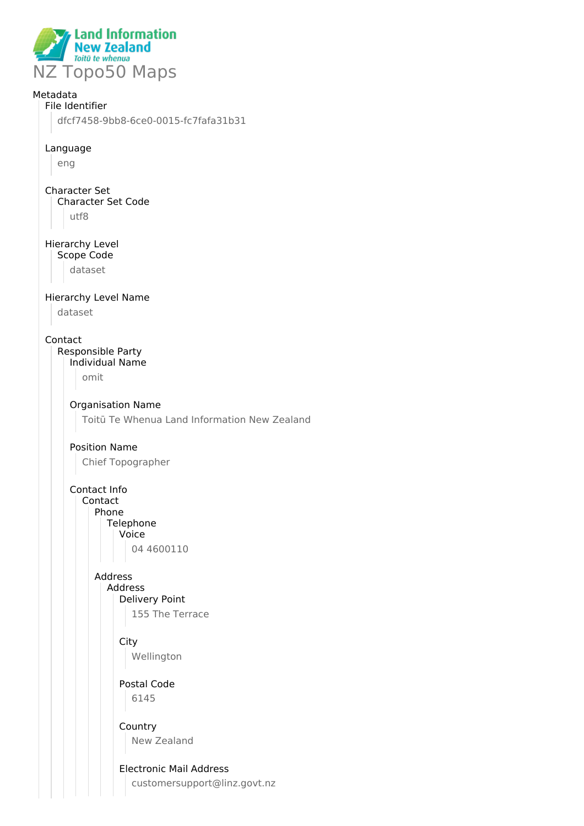

## Metadata

## File Identifier

dfcf7458-9bb8-6ce0-0015-fc7fafa31b31

#### Language

eng

#### Character Set Character Set Code utf8

Hierarchy Level Scope Code

dataset

## Hierarchy Level Name

dataset

#### Contact

Responsible Party Individual Name

omit

## Organisation Name

Toitū Te Whenua Land Information New Zealand

## Position Name

Chief Topographer

Contact Info Contact Phone Telephone Voice 04 4600110

> Address Address

# Delivery Point

155 The Terrace

## **City** Wellington

Postal Code 6145

## Country New Zealand

## Electronic Mail Address

customersupport@linz.govt.nz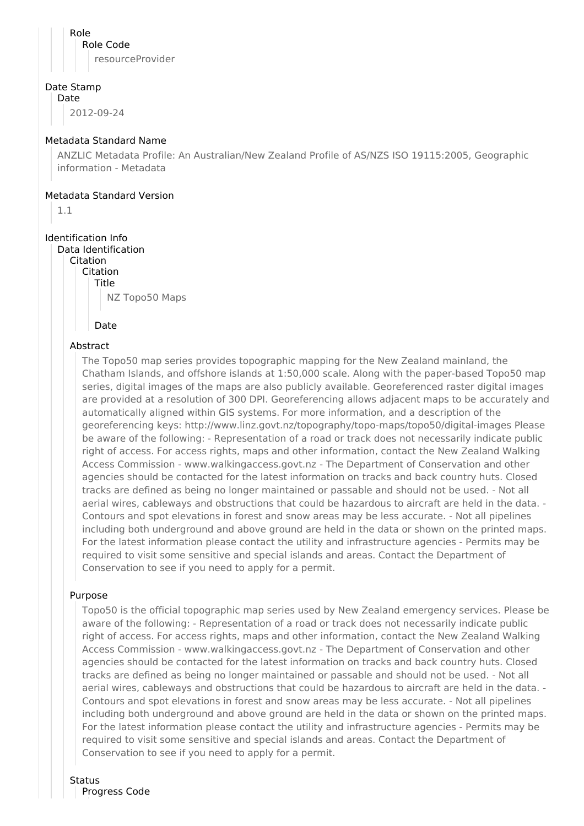Role Role Code resourceProvider

#### Date Stamp

Date

2012-09-24

#### Metadata Standard Name

ANZLIC Metadata Profile: An Australian/New Zealand Profile of AS/NZS ISO 19115:2005, Geographic information - Metadata

#### Metadata Standard Version

1.1

## Identification Info

Data Identification Citation Citation Title

NZ Topo50 Maps

Date

### Abstract

The Topo50 map series provides topographic mapping for the New Zealand mainland, the Chatham Islands, and offshore islands at 1:50,000 scale. Along with the paper-based Topo50 map series, digital images of the maps are also publicly available. Georeferenced raster digital images are provided at a resolution of 300 DPI. Georeferencing allows adjacent maps to be accurately and automatically aligned within GIS systems. For more information, and a description of the georeferencing keys: http://www.linz.govt.nz/topography/topo-maps/topo50/digital-images Please be aware of the following: - Representation of a road or track does not necessarily indicate public right of access. For access rights, maps and other information, contact the New Zealand Walking Access Commission - www.walkingaccess.govt.nz - The Department of Conservation and other agencies should be contacted for the latest information on tracks and back country huts. Closed tracks are defined as being no longer maintained or passable and should not be used. - Not all aerial wires, cableways and obstructions that could be hazardous to aircraft are held in the data. - Contours and spot elevations in forest and snow areas may be less accurate. - Not all pipelines including both underground and above ground are held in the data or shown on the printed maps. For the latest information please contact the utility and infrastructure agencies - Permits may be required to visit some sensitive and special islands and areas. Contact the Department of Conservation to see if you need to apply for a permit.

### Purpose

Topo50 is the official topographic map series used by New Zealand emergency services. Please be aware of the following: - Representation of a road or track does not necessarily indicate public right of access. For access rights, maps and other information, contact the New Zealand Walking Access Commission - www.walkingaccess.govt.nz - The Department of Conservation and other agencies should be contacted for the latest information on tracks and back country huts. Closed tracks are defined as being no longer maintained or passable and should not be used. - Not all aerial wires, cableways and obstructions that could be hazardous to aircraft are held in the data. - Contours and spot elevations in forest and snow areas may be less accurate. - Not all pipelines including both underground and above ground are held in the data or shown on the printed maps. For the latest information please contact the utility and infrastructure agencies - Permits may be required to visit some sensitive and special islands and areas. Contact the Department of Conservation to see if you need to apply for a permit.

#### **Status**

Progress Code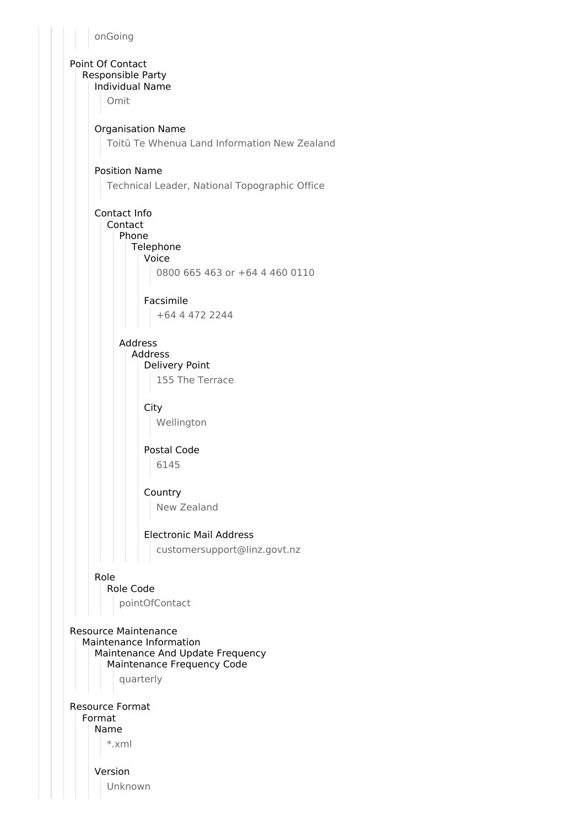onGoing

Point Of Contact Responsible Party Individual Name

Omit

### Organisation Name

Toitū Te Whenua Land Information New Zealand

### Position Name

Technical Leader, National Topographic Office

Contact Info Contact Phone Telephone

Voice 0800 665 463 or +64 4 460 0110

Facsimile +64 4 472 2244

## Address

Address Delivery Point 155 The Terrace

**City** 

Wellington

Postal Code 6145

### Country

New Zealand

## Electronic Mail Address

customersupport@linz.govt.nz

### Role

Role Code pointOfContact

Resource Maintenance Maintenance Information Maintenance And Update Frequency Maintenance Frequency Code quarterly

Resource Format Format Name \*.xml

> Version Unknown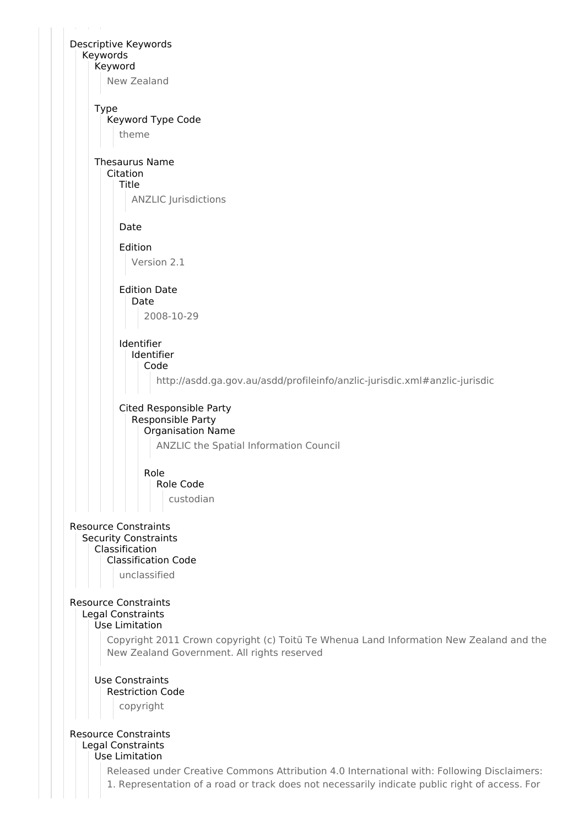

Use Limitation

Released under Creative Commons Attribution 4.0 International with: Following Disclaimers:

1. Representation of a road or track does not necessarily indicate public right of access. For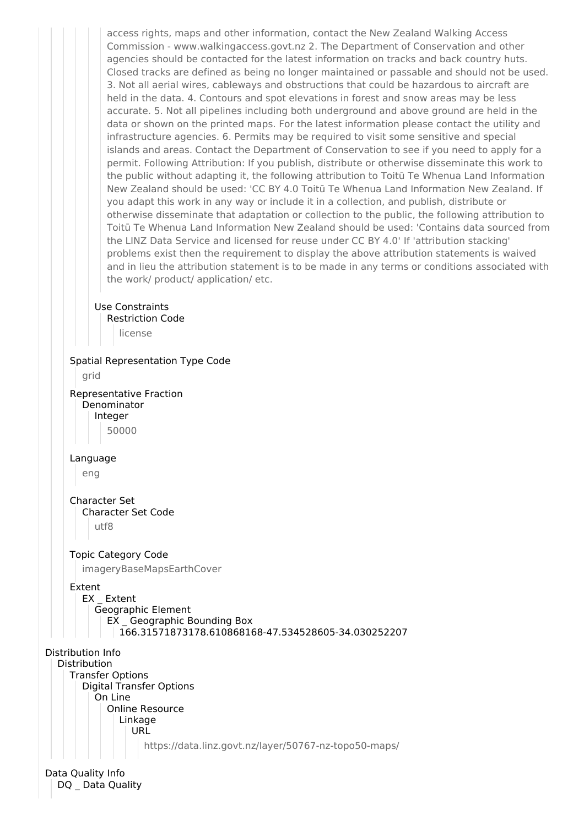

DQ Data Quality